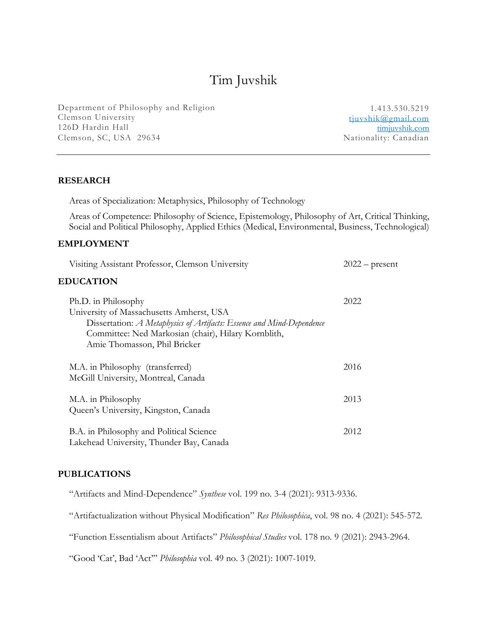# Tim Juvshik

Department of Philosophy and Religion Clemson University 126D Hardin Hall Clemson, SC, USA 29634

1.413.530.5219 tjuvshik@gmail.com timjuvshik.com<br>Nationality: Canadian

# **RESEARCH**

Areas of Specialization: Metaphysics, Philosophy of Technology

Areas of Competence: Philosophy of Science, Epistemology, Philosophy of Art, Critical Thinking, Social and Political Philosophy, Applied Ethics (Medical, Environmental, Business, Technological)

# **EMPLOYMENT**

| Visiting Assistant Professor, Clemson University                                                                                                                                                                                | $2022$ – present |
|---------------------------------------------------------------------------------------------------------------------------------------------------------------------------------------------------------------------------------|------------------|
| <b>EDUCATION</b>                                                                                                                                                                                                                |                  |
| Ph.D. in Philosophy<br>University of Massachusetts Amherst, USA<br>Dissertation: A Metaphysics of Artifacts: Essence and Mind-Dependence<br>Committee: Ned Markosian (chair), Hilary Kornblith,<br>Amie Thomasson, Phil Bricker | 2022             |
| M.A. in Philosophy (transferred)<br>McGill University, Montreal, Canada                                                                                                                                                         | 2016             |
| M.A. in Philosophy<br>Queen's University, Kingston, Canada                                                                                                                                                                      | 2013             |
| B.A. in Philosophy and Political Science<br>Lakehead University, Thunder Bay, Canada                                                                                                                                            | 2012             |

#### **PUBLICATIONS**

"Artifacts and Mind-Dependence" *Synthese* vol. 199 no. 3-4 (2021): 9313-9336.

"Artifactualization without Physical Modification" *Res Philosophica*, vol. 98 no. 4 (2021): 545-572.

"Function Essentialism about Artifacts" *Philosophical Studies* vol. 178 no. 9 (2021): 2943-2964.

"Good 'Cat', Bad 'Act'" *Philosophia* vol. 49 no. 3 (2021): 1007-1019.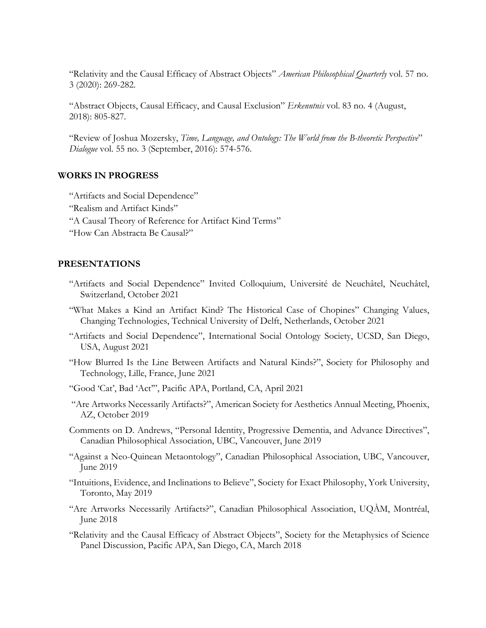"Relativity and the Causal Efficacy of Abstract Objects" *American Philosophical Quarterly* vol. 57 no. 3 (2020): 269-282.

"Abstract Objects, Causal Efficacy, and Causal Exclusion" *Erkenntnis* vol. 83 no. 4 (August, 2018): 805-827.

"Review of Joshua Mozersky, *Time, Language, and Ontology: The World from the B-theoretic Perspective*" *Dialogue* vol. 55 no. 3 (September, 2016): 574-576.

# **WORKS IN PROGRESS**

"Artifacts and Social Dependence"

- "Realism and Artifact Kinds"
- "A Causal Theory of Reference for Artifact Kind Terms"
- "How Can Abstracta Be Causal?"

#### **PRESENTATIONS**

- "Artifacts and Social Dependence" Invited Colloquium, Université de Neuchâtel, Neuchâtel, Switzerland, October 2021
- "What Makes a Kind an Artifact Kind? The Historical Case of Chopines" Changing Values, Changing Technologies, Technical University of Delft, Netherlands, October 2021
- "Artifacts and Social Dependence", International Social Ontology Society, UCSD, San Diego, USA, August 2021
- "How Blurred Is the Line Between Artifacts and Natural Kinds?", Society for Philosophy and Technology, Lille, France, June 2021
- "Good 'Cat', Bad 'Act'", Pacific APA, Portland, CA, April 2021
- "Are Artworks Necessarily Artifacts?", American Society for Aesthetics Annual Meeting, Phoenix, AZ, October 2019
- Comments on D. Andrews, "Personal Identity, Progressive Dementia, and Advance Directives", Canadian Philosophical Association, UBC, Vancouver, June 2019
- "Against a Neo-Quinean Metaontology", Canadian Philosophical Association, UBC, Vancouver, June 2019
- "Intuitions, Evidence, and Inclinations to Believe", Society for Exact Philosophy, York University, Toronto, May 2019
- "Are Artworks Necessarily Artifacts?", Canadian Philosophical Association, UQÀM, Montréal, June 2018
- "Relativity and the Causal Efficacy of Abstract Objects", Society for the Metaphysics of Science Panel Discussion, Pacific APA, San Diego, CA, March 2018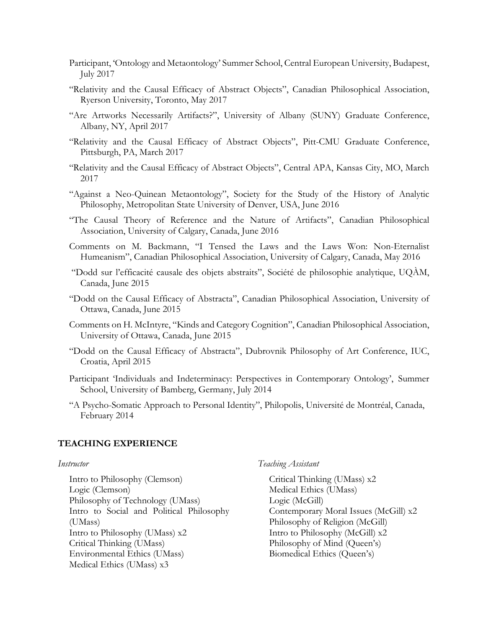- Participant, 'Ontology and Metaontology' Summer School, Central European University, Budapest, July 2017
- "Relativity and the Causal Efficacy of Abstract Objects", Canadian Philosophical Association, Ryerson University, Toronto, May 2017
- "Are Artworks Necessarily Artifacts?", University of Albany (SUNY) Graduate Conference, Albany, NY, April 2017
- "Relativity and the Causal Efficacy of Abstract Objects", Pitt-CMU Graduate Conference, Pittsburgh, PA, March 2017
- "Relativity and the Causal Efficacy of Abstract Objects", Central APA, Kansas City, MO, March 2017
- "Against a Neo-Quinean Metaontology", Society for the Study of the History of Analytic Philosophy, Metropolitan State University of Denver, USA, June 2016
- "The Causal Theory of Reference and the Nature of Artifacts", Canadian Philosophical Association, University of Calgary, Canada, June 2016
- Comments on M. Backmann, "I Tensed the Laws and the Laws Won: Non-Eternalist Humeanism", Canadian Philosophical Association, University of Calgary, Canada, May 2016
- "Dodd sur l'efficacité causale des objets abstraits", Société de philosophie analytique, UQÀM, Canada, June 2015
- "Dodd on the Causal Efficacy of Abstracta", Canadian Philosophical Association, University of Ottawa, Canada, June 2015
- Comments on H. McIntyre, "Kinds and Category Cognition", Canadian Philosophical Association, University of Ottawa, Canada, June 2015
- "Dodd on the Causal Efficacy of Abstracta", Dubrovnik Philosophy of Art Conference, IUC, Croatia, April 2015
- Participant 'Individuals and Indeterminacy: Perspectives in Contemporary Ontology', Summer School, University of Bamberg, Germany, July 2014
- "A Psycho-Somatic Approach to Personal Identity", Philopolis, Université de Montréal, Canada, February 2014

#### **TEACHING EXPERIENCE**

#### *Instructor*

Intro to Philosophy (Clemson) Logic (Clemson) Philosophy of Technology (UMass) Intro to Social and Political Philosophy (UMass) Intro to Philosophy (UMass) x2 Critical Thinking (UMass) Environmental Ethics (UMass) Medical Ethics (UMass) x3

*Teaching Assistant*

Critical Thinking (UMass) x2 Medical Ethics (UMass) Logic (McGill) Contemporary Moral Issues (McGill) x2 Philosophy of Religion (McGill) Intro to Philosophy (McGill) x2 Philosophy of Mind (Queen's) Biomedical Ethics (Queen's)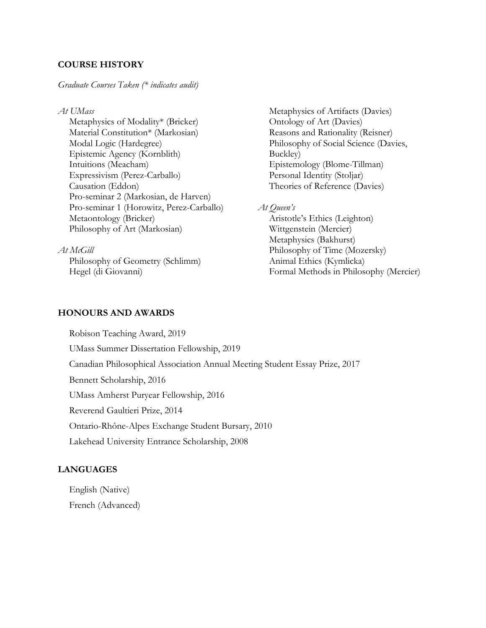# **COURSE HISTORY**

# *Graduate Courses Taken (\* indicates audit)*

*At UMass*

Metaphysics of Modality\* (Bricker) Material Constitution\* (Markosian) Modal Logic (Hardegree) Epistemic Agency (Kornblith) Intuitions (Meacham) Expressivism (Perez-Carballo) Causation (Eddon) Pro-seminar 2 (Markosian, de Harven) Pro-seminar 1 (Horowitz, Perez-Carballo) Metaontology (Bricker) Philosophy of Art (Markosian)

*At McGill*

Philosophy of Geometry (Schlimm) Hegel (di Giovanni)

Metaphysics of Artifacts (Davies) Ontology of Art (Davies) Reasons and Rationality (Reisner) Philosophy of Social Science (Davies, Buckley) Epistemology (Blome-Tillman) Personal Identity (Stoljar) Theories of Reference (Davies)

*At Queen's*

Aristotle's Ethics (Leighton) Wittgenstein (Mercier) Metaphysics (Bakhurst) Philosophy of Time (Mozersky) Animal Ethics (Kymlicka) Formal Methods in Philosophy (Mercier)

# **HONOURS AND AWARDS**

Robison Teaching Award, 2019 UMass Summer Dissertation Fellowship, 2019 Canadian Philosophical Association Annual Meeting Student Essay Prize, 2017 Bennett Scholarship, 2016 UMass Amherst Puryear Fellowship, 2016 Reverend Gaultieri Prize, 2014 Ontario-Rhône-Alpes Exchange Student Bursary, 2010 Lakehead University Entrance Scholarship, 2008

# **LANGUAGES**

English (Native)

French (Advanced)